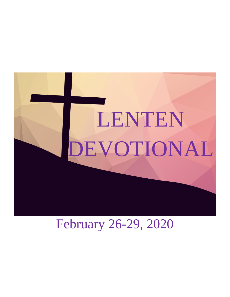

# February 26-29, 2020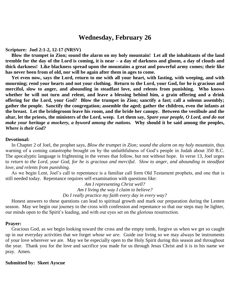# **Wednesday, February 26**

### **Scripture: Joel 2:1-2, 12-17 (NRSV)**

 **Blow the trumpet in Zion; sound the alarm on my holy mountain! Let all the inhabitants of the land tremble for the day of the Lord is coming, it is near – a day of darkness and gloom, a day of clouds and thick darkness! Like blackness spread upon the mountains a great and powerful army comes; their like has never been from of old, nor will be again after them in ages to come.**

 **Yet even now, says the Lord, return to me with all your heart, with fasting, with weeping, and with mourning; rend your hearts and not your clothing. Return to the Lord, your God, for he is gracious and merciful, slow to anger, and abounding in steadfast love, and relents from punishing. Who knows whether he will not turn and relent, and leave a blessing behind him, a grain offering and a drink offering for the Lord, your God? Blow the trumpet in Zion; sanctify a fast; call a solemn assembly; gather the people. Sanctify the congregation; assemble the aged; gather the children, even the infants at the breast. Let the bridegroom leave his room, and the bride her canopy. Between the vestibule and the altar, let the priests, the ministers of the Lord, weep. Let them say,** *Spare your people, O Lord, and do not make your heritage a mockery, a byword among the nations.* **Why should it be said among the peoples,**  *Where is their God?*

### **Devotional:**

 In Chapter 2 of Joel, the prophet says, *Blow the trumpet in Zion; sound the alarm on my holy mountain,* thus warning of a coming catastrophe brought on by the unfaithfulness of God's people in Judah about 350 B.C. The apocalyptic language is frightening in the verses that follow, but not without hope. In verse 13, Joel urges to *return to the Lord, your God, for he is gracious and merciful. Slow to anger, and abounding in steadfast love, and relents from punishing.* 

 As we begin Lent, Joel's call to repentance is a familiar call form Old Testament prophets, and one that is still needed today. Repentance requires self-examination with questions like:

> *Am I representing Christ well? Am I living the way I claim to believe? Do I really practice my faith every day in every way?*

Honest answers to these questions can lead to spiritual growth and mark our preparation during the Lenten season. May we begin our journey to the cross with confession and repentance so that our steps may be lighter, our minds open to the Spirit's leading, and with our eyes set on the glorious resurrection.

## **Prayer:**

 Gracious God, as we begin looking toward the cross and the empty tomb, forgive us when we get so caught up in our everyday activities that we forget *whose we are.* Guide our living so we may always be instruments of your love wherever we are. May we be especially open to the Holy Spirit during this season and throughout the year. Thank you for the love and sacrifice you made for us through Jesus Christ and it is in his name we pray. Amen.

### **Submitted by: Skeet Ayscue**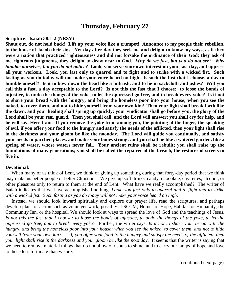# **Thursday, February 27**

### **Scripture: Isaiah 58:1-2 (NRSV)**

**Shout out, do not hold back! Lift up your voice like a trumpet! Announce to my people their rebellion, to the house of Jacob their sins. Yet day after day they seek me and delight to know my ways, as if they were a nation that practiced righteousness and did not forsake the ordinance of their God; they ask of me righteous judgments, they delight to draw near to God.** *Why do we fast, but you do not see? Why humble ourselves, but you do not notice?* **Look, you serve your own interest on your fast day, and oppress all your workers. Look, you fast only to quarrel and to fight and to strike with a wicked fist. Such fasting as you do today will not make your voice heard on high. Is such the fast that I choose, a day to humble oneself? Is it to bow down the head like a bulrush, and to lie in sackcloth and ashes? Will you call this a fast, a day acceptable to the Lord? Is not this the fast that I choose: to loose the bonds of injustice, to undo the thongs of the yoke, to let the oppressed go free, and to break every yoke? Is it not to share your bread with the hungry, and bring the homeless poor into your house; when you see the naked, to cover them, and not to hide yourself from your own kin? Then your light shall break forth like the dawn, and your healing shall spring up quickly; your vindicator shall go before you, the glory of the Lord shall be your rear guard. Then you shall call, and the Lord will answer; you shall cry for help, and he will say, Here I am. If you remove the yoke from among you, the pointing of the finger, the speaking of evil, if you offer your food to the hungry and satisfy the needs of the afflicted, then your light shall rise in the darkness and your gloom be like the noonday. The Lord will guide you continually, and satisfy your needs in parched places, and make your bones strong; and you shall be like a watered garden, like a spring of water, whose waters never fail. Your ancient ruins shall be rebuilt; you shall raise up the foundations of many generations; you shall be called the repairer of the breach, the restorer of streets to live in.**

### **Devotional:**

When many of us think of Lent, we think of giving up something during that forty-day period that we think may make us better people or better Christians. We give up soft drinks, candy, chocolate, cigarettes, alcohol, or other pleasures only to return to them at the end of Lent. What have we really accomplished? The writer of Isaiah indicates that we have accomplished nothing. *Look, you fast only to quarrel and to fight and to strike with a wicked fist. Such fasting as you do today will not make your voice heard on high.*

 Instead, we should look inward spiritually and explore our prayer life, read the scriptures, and perhaps develop plans of action such as volunteer work, possibly at SCCM, Homes of Hope, Habitat for Humanity, the Community Inn, or the hospital. We should look at ways to spread the love of God and the teachings of Jesus. Is not this the fast that I choose: to loose the bonds of injustice, to undo the thongs of the yoke, to let the *oppressed go free, and to break every yoke?* Further, the writer says, *Is it not to share your bread with the hungry, and bring the homeless poor into your house; when you see the naked, to cover them, and not to hide yourself from your own kin? . . . If you offer your food to the hungry and satisfy the needs of the afflicted, then your light shall rise in the darkness and your gloom be like the noonday.* It seems that the writer is saying that we need to remove material things that do not allow our souls to shine, and to carry our lamps of hope and love to those less fortunate than we are.

(continued next page)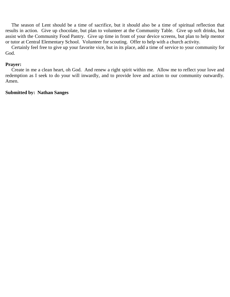The season of Lent should be a time of sacrifice, but it should also be a time of spiritual reflection that results in action. Give up chocolate, but plan to volunteer at the Community Table. Give up soft drinks, but assist with the Community Food Pantry. Give up time in front of your device screens, but plan to help mentor or tutor at Central Elementary School. Volunteer for scouting. Offer to help with a church activity.

 Certainly feel free to give up your favorite vice, but in its place, add a time of service to your community for God.

### **Prayer:**

 Create in me a clean heart, oh God. And renew a right spirit within me. Allow me to reflect your love and redemption as I seek to do your will inwardly, and to provide love and action to our community outwardly. Amen.

# **Submitted by: Nathan Sanges**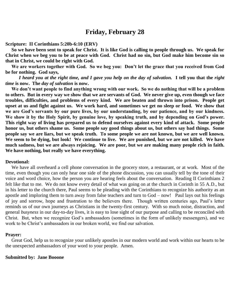# **Friday, February 28**

### **Scripture: II Corinthians 5:20b-6:10 (ERV)**

 **So we have been sent to speak for Christ. It is like God is calling to people through us. We speak for Christ when we beg you to be at peace with God. Christ had no sin, but God make him become sin so that in Christ, we could be right with God.**

 **We are workers together with God. So we beg you: Don't let the grace that you received from God be for nothing. God says,**

*I heard you at the right time, and I gave you help on the day of salvation.* **I tell you that the** *right time* **is now. The** *day of salvation* **is now.**

 **We don't want people to find anything wrong with our work. So we do nothing that will be a problem to others. But in every way we show that we are servants of God. We never give up, even though we face troubles, difficulties, and problems of every kind. We are beaten and thrown into prison. People get upset at us and fight against us. We work hard, and sometimes we get no sleep or food. We show that we are God's servants by our pure lives, by our understanding, by our patience, and by our kindness.**  We show it by the Holy Spirit, by genuine love, by speaking truth, and by depending on God's power. **This right way of living has prepared us to defend ourselves against every kind of attack. Some people honor us, but others shame us. Some people say good things about us, but others say bad things. Some people say we are liars, but we speak truth. To some people we are not known, but we are well known. We seem to be dying, but look! We continue to live. We are punished, but we are not killed. We have much sadness, but we are always rejoicing. We are poor, but we are making many people rich in faith. We have nothing, but really we have everything.**

### **Devotional:**

 We have all overheard a cell phone conversation in the grocery store, a restaurant, or at work. Most of the time, even though you can only hear one side of the phone discussion, you can usually tell by the tone of their voice and word choice, how the person you are hearing feels about the conversation. Reading II Corinthians 2 felt like that to me. We do not know every detail of what was going on at the church in Corinth in 55 A.D., but in his letter to the church there, Paul seems to be pleading with the Corinthians to recognize his authority as an apostle and imploring them to turn away from false teachers and turn to God – now! Paul lays out his feelings of joy and sorrow, hope and frustration to the believers there. Though written centuries ago, Paul's letter reminds us of our own journeys as Christians in the twenty-first century. With so much noise, distraction, and general *busyness* in our day-to-day lives, it is easy to lose sight of our purpose and calling to be reconciled with Christ. But, when we recognize God's ambassadors (sometimes in the form of unlikely messengers), and we work to be Christ's ambassadors in our broken world, we find our salvation.

### **Prayer:**

Great God, help us to recognize your unlikely apostles in our modern world and work within our hearts to be the unexpected ambassadors of your word to your people. Amen.

### **Submitted by: Jane Booone**